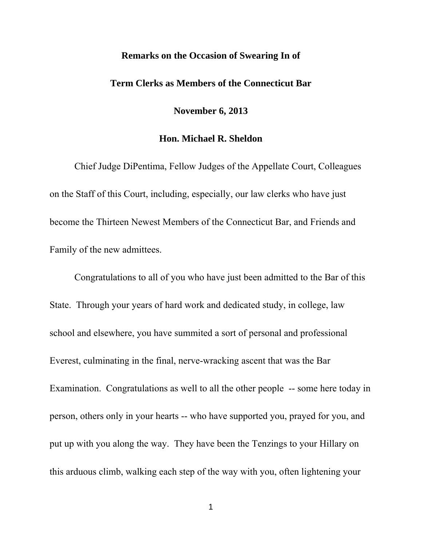## **Remarks on the Occasion of Swearing In of**

## **Term Clerks as Members of the Connecticut Bar**

**November 6, 2013** 

## **Hon. Michael R. Sheldon**

Chief Judge DiPentima, Fellow Judges of the Appellate Court, Colleagues on the Staff of this Court, including, especially, our law clerks who have just become the Thirteen Newest Members of the Connecticut Bar, and Friends and Family of the new admittees.

 Congratulations to all of you who have just been admitted to the Bar of this State. Through your years of hard work and dedicated study, in college, law school and elsewhere, you have summited a sort of personal and professional Everest, culminating in the final, nerve-wracking ascent that was the Bar Examination. Congratulations as well to all the other people -- some here today in person, others only in your hearts -- who have supported you, prayed for you, and put up with you along the way. They have been the Tenzings to your Hillary on this arduous climb, walking each step of the way with you, often lightening your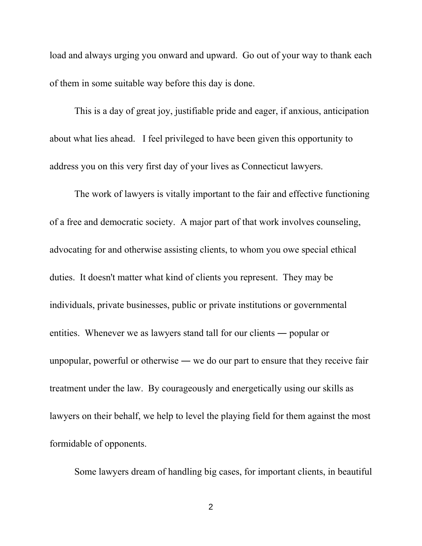load and always urging you onward and upward. Go out of your way to thank each of them in some suitable way before this day is done.

 This is a day of great joy, justifiable pride and eager, if anxious, anticipation about what lies ahead. I feel privileged to have been given this opportunity to address you on this very first day of your lives as Connecticut lawyers.

 The work of lawyers is vitally important to the fair and effective functioning of a free and democratic society. A major part of that work involves counseling, advocating for and otherwise assisting clients, to whom you owe special ethical duties. It doesn't matter what kind of clients you represent. They may be individuals, private businesses, public or private institutions or governmental entities. Whenever we as lawyers stand tall for our clients ― popular or unpopular, powerful or otherwise ― we do our part to ensure that they receive fair treatment under the law. By courageously and energetically using our skills as lawyers on their behalf, we help to level the playing field for them against the most formidable of opponents.

Some lawyers dream of handling big cases, for important clients, in beautiful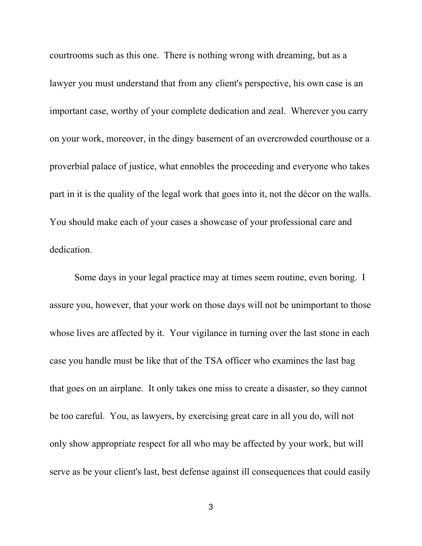courtrooms such as this one. There is nothing wrong with dreaming, but as a lawyer you must understand that from any client's perspective, his own case is an important case, worthy of your complete dedication and zeal. Wherever you carry on your work, moreover, in the dingy basement of an overcrowded courthouse or a proverbial palace of justice, what ennobles the proceeding and everyone who takes part in it is the quality of the legal work that goes into it, not the décor on the walls. You should make each of your cases a showcase of your professional care and dedication.

 Some days in your legal practice may at times seem routine, even boring. I assure you, however, that your work on those days will not be unimportant to those whose lives are affected by it. Your vigilance in turning over the last stone in each case you handle must be like that of the TSA officer who examines the last bag that goes on an airplane. It only takes one miss to create a disaster, so they cannot be too careful. You, as lawyers, by exercising great care in all you do, will not only show appropriate respect for all who may be affected by your work, but will serve as be your client's last, best defense against ill consequences that could easily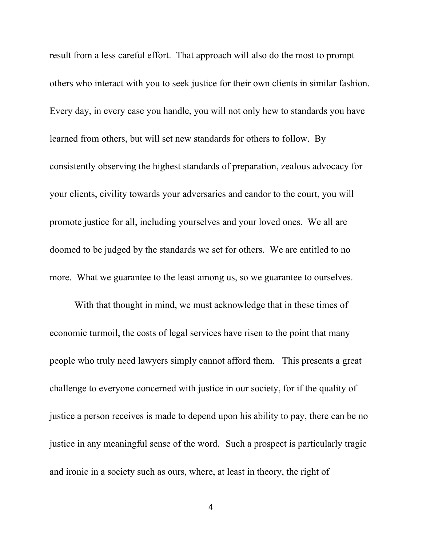result from a less careful effort. That approach will also do the most to prompt others who interact with you to seek justice for their own clients in similar fashion. Every day, in every case you handle, you will not only hew to standards you have learned from others, but will set new standards for others to follow. By consistently observing the highest standards of preparation, zealous advocacy for your clients, civility towards your adversaries and candor to the court, you will promote justice for all, including yourselves and your loved ones. We all are doomed to be judged by the standards we set for others. We are entitled to no more. What we guarantee to the least among us, so we guarantee to ourselves.

 With that thought in mind, we must acknowledge that in these times of economic turmoil, the costs of legal services have risen to the point that many people who truly need lawyers simply cannot afford them. This presents a great challenge to everyone concerned with justice in our society, for if the quality of justice a person receives is made to depend upon his ability to pay, there can be no justice in any meaningful sense of the word. Such a prospect is particularly tragic and ironic in a society such as ours, where, at least in theory, the right of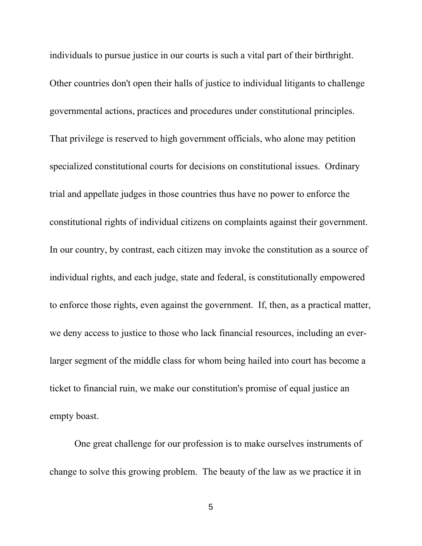individuals to pursue justice in our courts is such a vital part of their birthright. Other countries don't open their halls of justice to individual litigants to challenge governmental actions, practices and procedures under constitutional principles. That privilege is reserved to high government officials, who alone may petition specialized constitutional courts for decisions on constitutional issues. Ordinary trial and appellate judges in those countries thus have no power to enforce the constitutional rights of individual citizens on complaints against their government. In our country, by contrast, each citizen may invoke the constitution as a source of individual rights, and each judge, state and federal, is constitutionally empowered to enforce those rights, even against the government. If, then, as a practical matter, we deny access to justice to those who lack financial resources, including an everlarger segment of the middle class for whom being hailed into court has become a ticket to financial ruin, we make our constitution's promise of equal justice an empty boast.

 One great challenge for our profession is to make ourselves instruments of change to solve this growing problem. The beauty of the law as we practice it in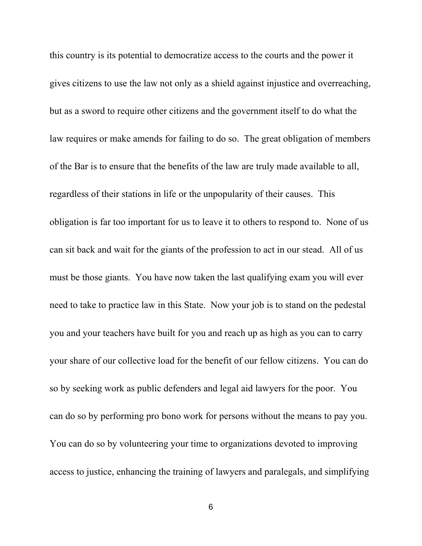this country is its potential to democratize access to the courts and the power it gives citizens to use the law not only as a shield against injustice and overreaching, but as a sword to require other citizens and the government itself to do what the law requires or make amends for failing to do so. The great obligation of members of the Bar is to ensure that the benefits of the law are truly made available to all, regardless of their stations in life or the unpopularity of their causes. This obligation is far too important for us to leave it to others to respond to. None of us can sit back and wait for the giants of the profession to act in our stead. All of us must be those giants. You have now taken the last qualifying exam you will ever need to take to practice law in this State. Now your job is to stand on the pedestal you and your teachers have built for you and reach up as high as you can to carry your share of our collective load for the benefit of our fellow citizens. You can do so by seeking work as public defenders and legal aid lawyers for the poor. You can do so by performing pro bono work for persons without the means to pay you. You can do so by volunteering your time to organizations devoted to improving access to justice, enhancing the training of lawyers and paralegals, and simplifying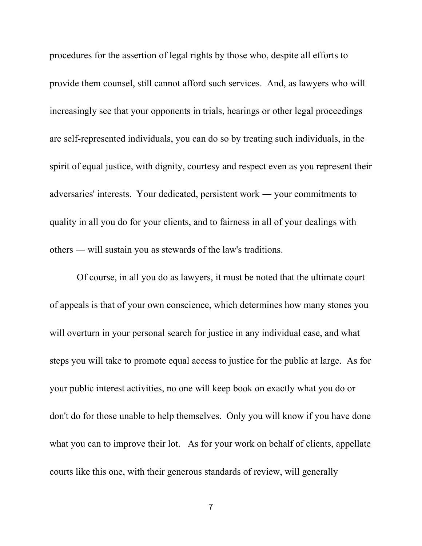procedures for the assertion of legal rights by those who, despite all efforts to provide them counsel, still cannot afford such services. And, as lawyers who will increasingly see that your opponents in trials, hearings or other legal proceedings are self-represented individuals, you can do so by treating such individuals, in the spirit of equal justice, with dignity, courtesy and respect even as you represent their adversaries' interests. Your dedicated, persistent work ― your commitments to quality in all you do for your clients, and to fairness in all of your dealings with others ― will sustain you as stewards of the law's traditions.

 Of course, in all you do as lawyers, it must be noted that the ultimate court of appeals is that of your own conscience, which determines how many stones you will overturn in your personal search for justice in any individual case, and what steps you will take to promote equal access to justice for the public at large. As for your public interest activities, no one will keep book on exactly what you do or don't do for those unable to help themselves. Only you will know if you have done what you can to improve their lot. As for your work on behalf of clients, appellate courts like this one, with their generous standards of review, will generally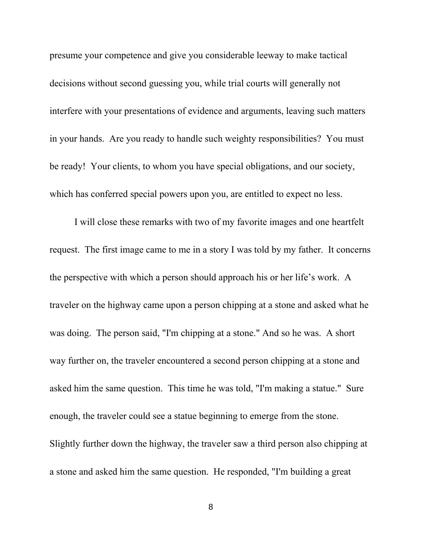presume your competence and give you considerable leeway to make tactical decisions without second guessing you, while trial courts will generally not interfere with your presentations of evidence and arguments, leaving such matters in your hands. Are you ready to handle such weighty responsibilities? You must be ready! Your clients, to whom you have special obligations, and our society, which has conferred special powers upon you, are entitled to expect no less.

 I will close these remarks with two of my favorite images and one heartfelt request. The first image came to me in a story I was told by my father. It concerns the perspective with which a person should approach his or her life's work. A traveler on the highway came upon a person chipping at a stone and asked what he was doing. The person said, "I'm chipping at a stone." And so he was. A short way further on, the traveler encountered a second person chipping at a stone and asked him the same question. This time he was told, "I'm making a statue." Sure enough, the traveler could see a statue beginning to emerge from the stone. Slightly further down the highway, the traveler saw a third person also chipping at a stone and asked him the same question. He responded, "I'm building a great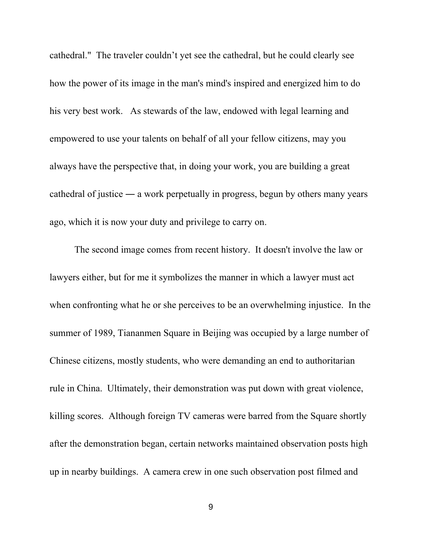cathedral." The traveler couldn't yet see the cathedral, but he could clearly see how the power of its image in the man's mind's inspired and energized him to do his very best work. As stewards of the law, endowed with legal learning and empowered to use your talents on behalf of all your fellow citizens, may you always have the perspective that, in doing your work, you are building a great cathedral of justice ― a work perpetually in progress, begun by others many years ago, which it is now your duty and privilege to carry on.

 The second image comes from recent history. It doesn't involve the law or lawyers either, but for me it symbolizes the manner in which a lawyer must act when confronting what he or she perceives to be an overwhelming injustice. In the summer of 1989, Tiananmen Square in Beijing was occupied by a large number of Chinese citizens, mostly students, who were demanding an end to authoritarian rule in China. Ultimately, their demonstration was put down with great violence, killing scores. Although foreign TV cameras were barred from the Square shortly after the demonstration began, certain networks maintained observation posts high up in nearby buildings. A camera crew in one such observation post filmed and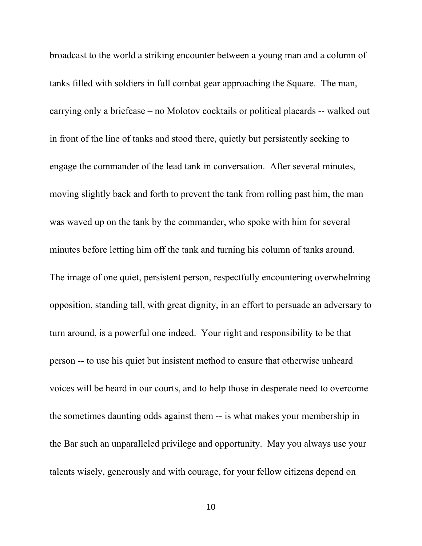broadcast to the world a striking encounter between a young man and a column of tanks filled with soldiers in full combat gear approaching the Square. The man, carrying only a briefcase – no Molotov cocktails or political placards -- walked out in front of the line of tanks and stood there, quietly but persistently seeking to engage the commander of the lead tank in conversation. After several minutes, moving slightly back and forth to prevent the tank from rolling past him, the man was waved up on the tank by the commander, who spoke with him for several minutes before letting him off the tank and turning his column of tanks around. The image of one quiet, persistent person, respectfully encountering overwhelming opposition, standing tall, with great dignity, in an effort to persuade an adversary to turn around, is a powerful one indeed. Your right and responsibility to be that person -- to use his quiet but insistent method to ensure that otherwise unheard voices will be heard in our courts, and to help those in desperate need to overcome the sometimes daunting odds against them -- is what makes your membership in the Bar such an unparalleled privilege and opportunity. May you always use your talents wisely, generously and with courage, for your fellow citizens depend on